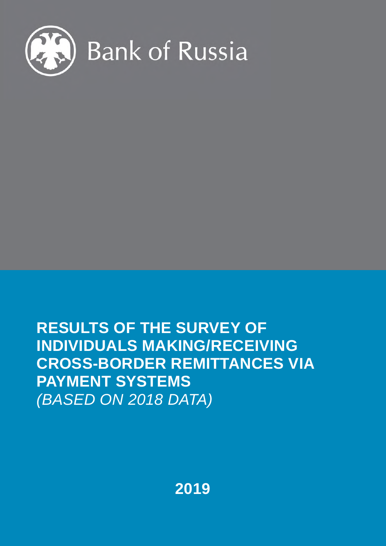

# **RESULTS OF THE SURVEY OF INDIVIDUALS MAKING/RECEIVING CROSS-BORDER REMITTANCES VIA PAYMENT SYSTEMS**  *(BASED ON 2018 DATA)*

**2019**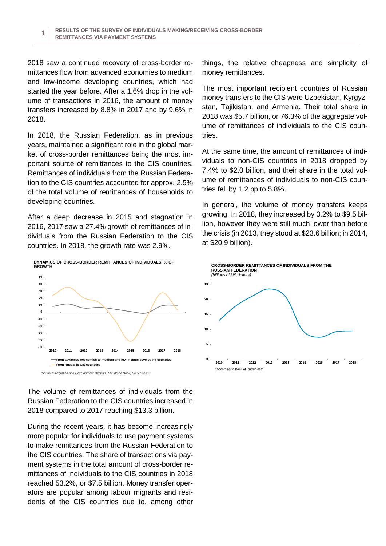2018 saw a continued recovery of cross-border remittances flow from advanced economies to medium and low-income developing countries, which had started the year before. After a 1.6% drop in the volume of transactions in 2016, the amount of money transfers increased by 8.8% in 2017 and by 9.6% in 2018.

In 2018, the Russian Federation, as in previous years, maintained a significant role in the global market of cross-border remittances being the most important source of remittances to the CIS countries. Remittances of individuals from the Russian Federation to the CIS countries accounted for approx. 2.5% of the total volume of remittances of households to developing countries.

After a deep decrease in 2015 and stagnation in 2016, 2017 saw a 27.4% growth of remittances of individuals from the Russian Federation to the CIS countries. In 2018, the growth rate was 2.9%.



The volume of remittances of individuals from the Russian Federation to the CIS countries increased in 2018 compared to 2017 reaching \$13.3 billion.

During the recent years, it has become increasingly more popular for individuals to use payment systems to make remittances from the Russian Federation to the CIS countries. The share of transactions via payment systems in the total amount of cross-border remittances of individuals to the CIS countries in 2018 reached 53.2%, or \$7.5 billion. Money transfer operators are popular among labour migrants and residents of the CIS countries due to, among other

things, the relative cheapness and simplicity of money remittances.

The most important recipient countries of Russian money transfers to the CIS were Uzbekistan, Kyrgyzstan, Tajikistan, and Armenia. Their total share in 2018 was \$5.7 billion, or 76.3% of the aggregate volume of remittances of individuals to the CIS countries.

At the same time, the amount of remittances of individuals to non-CIS countries in 2018 dropped by 7.4% to \$2.0 billion, and their share in the total volume of remittances of individuals to non-CIS countries fell by 1.2 pp to 5.8%.

In general, the volume of money transfers keeps growing. In 2018, they increased by 3.2% to \$9.5 billion, however they were still much lower than before the crisis (in 2013, they stood at \$23.6 billion; in 2014, at \$20.9 billion).

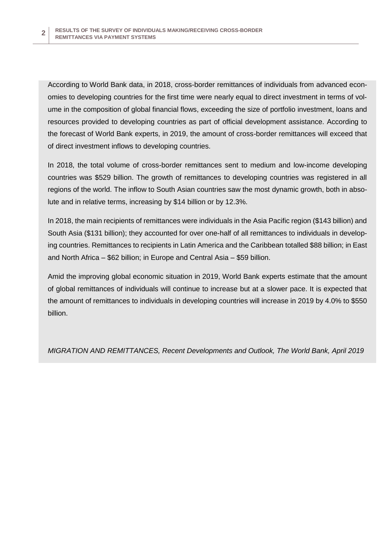According to World Bank data, in 2018, cross-border remittances of individuals from advanced economies to developing countries for the first time were nearly equal to direct investment in terms of volume in the composition of global financial flows, exceeding the size of portfolio investment, loans and resources provided to developing countries as part of official development assistance. According to the forecast of World Bank experts, in 2019, the amount of cross-border remittances will exceed that of direct investment inflows to developing countries.

In 2018, the total volume of cross-border remittances sent to medium and low-income developing countries was \$529 billion. The growth of remittances to developing countries was registered in all regions of the world. The inflow to South Asian countries saw the most dynamic growth, both in absolute and in relative terms, increasing by \$14 billion or by 12.3%.

In 2018, the main recipients of remittances were individuals in the Asia Pacific region (\$143 billion) and South Asia (\$131 billion); they accounted for over one-half of all remittances to individuals in developing countries. Remittances to recipients in Latin America and the Caribbean totalled \$88 billion; in East and North Africa – \$62 billion; in Europe and Central Asia – \$59 billion.

Amid the improving global economic situation in 2019, World Bank experts estimate that the amount of global remittances of individuals will continue to increase but at a slower pace. It is expected that the amount of remittances to individuals in developing countries will increase in 2019 by 4.0% to \$550 billion.

*MIGRATION AND REMITTANCES, Recent Developments and Outlook, The World Bank, April 2019*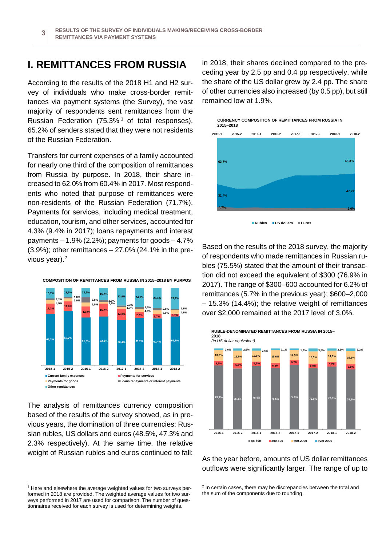#### **I. REMITTANCES FROM RUSSIA**

According to the results of the 2018 H1 and H2 survey of individuals who make cross-border remittances via payment systems (the Survey), the vast majority of respondents sent remittances from the Russian Federation  $(75.3\%$ <sup>1</sup> of total responses). 65.2% of senders stated that they were not residents of the Russian Federation.

Transfers for current expenses of a family accounted for nearly one third of the composition of remittances from Russia by purpose. In 2018, their share increased to 62.0% from 60.4% in 2017. Most respondents who noted that purpose of remittances were non-residents of the Russian Federation (71.7%). Payments for services, including medical treatment, education, tourism, and other services, accounted for 4.3% (9.4% in 2017); loans repayments and interest payments  $-1.9\%$  (2.2%); payments for goods  $-4.7\%$  $(3.9\%)$ ; other remittances  $-27.0\%$  (24.1% in the previous year).<sup>2</sup>



The analysis of remittances currency composition based of the results of the survey showed, as in previous years, the domination of three currencies: Russian rubles, US dollars and euros (48.5%, 47.3% and 2.3% respectively). At the same time, the relative weight of Russian rubles and euros continued to fall:

 $\overline{a}$ 

in 2018, their shares declined compared to the preceding year by 2.5 pp and 0.4 pp respectively, while the share of the US dollar grew by 2.4 pp. The share of other currencies also increased (by 0.5 pp), but still remained low at 1.9%.



Based on the results of the 2018 survey, the majority of respondents who made remittances in Russian rubles (75.5%) stated that the amount of their transaction did not exceed the equivalent of \$300 (76.9% in 2017). The range of \$300–600 accounted for 6.2% of remittances (5.7% in the previous year); \$600–2,000 – 15.3% (14.4%); the relative weight of remittances over \$2,000 remained at the 2017 level of 3.0%.



As the year before, amounts of US dollar remittances outflows were significantly larger. The range of up to

 $1$  Here and elsewhere the average weighted values for two surveys performed in 2018 are provided. The weighted average values for two surveys performed in 2017 are used for comparison. The number of questionnaires received for each survey is used for determining weights.

<sup>&</sup>lt;sup>2</sup> In certain cases, there may be discrepancies between the total and the sum of the components due to rounding.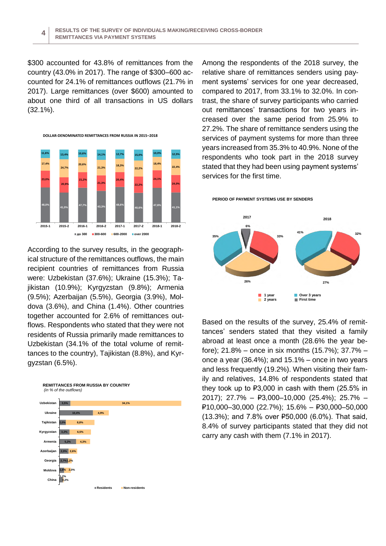\$300 accounted for 43.8% of remittances from the country (43.0% in 2017). The range of \$300–600 accounted for 24.1% of remittances outflows (21.7% in 2017). Large remittances (over \$600) amounted to about one third of all transactions in US dollars (32.1%).



According to the survey results, in the geographical structure of the remittances outflows, the main recipient countries of remittances from Russia were: Uzbekistan (37.6%); Ukraine (15.3%); Tajikistan (10.9%); Kyrgyzstan (9.8%); Armenia (9.5%); Azerbaijan (5.5%), Georgia (3.9%), Moldova (3.6%), and China (1.4%). Other countries together accounted for 2.6% of remittances outflows. Respondents who stated that they were not residents of Russia primarily made remittances to Uzbekistan (34.1% of the total volume of remittances to the country), Tajikistan (8.8%), and Kyrgyzstan (6.5%).



Among the respondents of the 2018 survey, the relative share of remittances senders using payment systems' services for one year decreased, compared to 2017, from 33.1% to 32.0%. In contrast, the share of survey participants who carried out remittances' transactions for two years increased over the same period from 25.9% to 27.2%. The share of remittance senders using the services of payment systems for more than three years increased from 35.3% to 40.9%. None of the respondents who took part in the 2018 survey stated that they had been using payment systems' services for the first time.

**PERIOD OF PAYMENT SYSTEMS USE BY SENDERS**



Based on the results of the survey, 25.4% of remittances' senders stated that they visited a family abroad at least once a month (28.6% the year before); 21.8% – once in six months (15.7%); 37.7% – once a year (36.4%); and 15.1% – once in two years and less frequently (19.2%). When visiting their family and relatives, 14.8% of respondents stated that they took up to ₽3,000 in cash with them (25.5% in 2017); 27.7% – ₽3,000–10,000 (25.4%); 25.7% – ₽10,000–30,000 (22.7%); 15.6% – ₽30,000–50,000 (13.3%); and 7.8% over ₽50,000 (6.0%). That said, 8.4% of survey participants stated that they did not carry any cash with them (7.1% in 2017).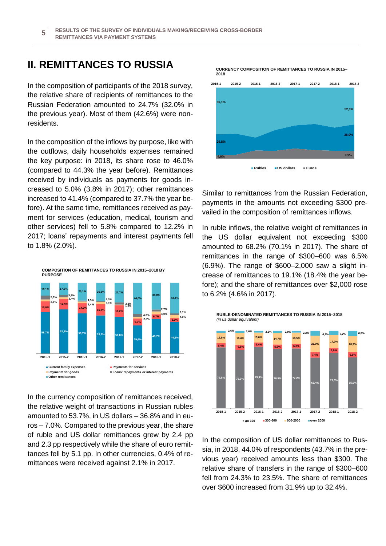### **II. REMITTANCES TO RUSSIA**

In the composition of participants of the 2018 survey, the relative share of recipients of remittances to the Russian Federation amounted to 24.7% (32.0% in the previous year). Most of them (42.6%) were nonresidents.

In the composition of the inflows by purpose, like with the outflows, daily households expenses remained the key purpose: in 2018, its share rose to 46.0% (compared to 44.3% the year before). Remittances received by individuals as payments for goods increased to 5.0% (3.8% in 2017); other remittances increased to 41.4% (compared to 37.7% the year before). At the same time, remittances received as payment for services (education, medical, tourism and other services) fell to 5.8% compared to 12.2% in 2017; loans' repayments and interest payments fell to 1.8% (2.0%).



In the currency composition of remittances received, the relative weight of transactions in Russian rubles amounted to 53.7%, in US dollars – 36.8% and in euros – 7.0%. Compared to the previous year, the share of ruble and US dollar remittances grew by 2.4 pp and 2.3 pp respectively while the share of euro remittances fell by 5.1 pp. In other currencies, 0.4% of remittances were received against 2.1% in 2017.

**CURRENCY COMPOSITION OF REMITTANCES TO RUSSIA IN 2015– 2018**



Similar to remittances from the Russian Federation, payments in the amounts not exceeding \$300 prevailed in the composition of remittances inflows.

In ruble inflows, the relative weight of remittances in the US dollar equivalent not exceeding \$300 amounted to 68.2% (70.1% in 2017). The share of remittances in the range of \$300–600 was 6.5% (6.9%). The range of \$600–2,000 saw a slight increase of remittances to 19.1% (18.4% the year before); and the share of remittances over \$2,000 rose to 6.2% (4.6% in 2017).



In the composition of US dollar remittances to Russia, in 2018, 44.0% of respondents (43.7% in the previous year) received amounts less than \$300. The relative share of transfers in the range of \$300–600 fell from 24.3% to 23.5%. The share of remittances over \$600 increased from 31.9% up to 32.4%.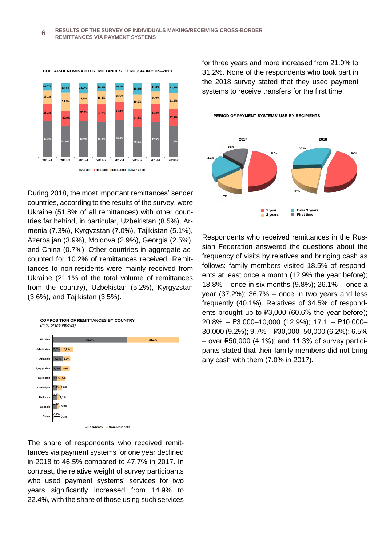

During 2018, the most important remittances' sender countries, according to the results of the survey, were Ukraine (51.8% of all remittances) with other countries far behind, in particular, Uzbekistan (8.5%), Armenia (7.3%), Kyrgyzstan (7.0%), Tajikistan (5.1%), Azerbaijan (3.9%), Moldova (2.9%), Georgia (2.5%), and China (0.7%). Other countries in aggregate accounted for 10.2% of remittances received. Remittances to non-residents were mainly received from Ukraine (21.1% of the total volume of remittances from the country), Uzbekistan (5.2%), Kyrgyzstan (3.6%), and Tajikistan (3.5%).



The share of respondents who received remittances via payment systems for one year declined in 2018 to 46.5% compared to 47.7% in 2017. In contrast, the relative weight of survey participants who used payment systems' services for two years significantly increased from 14.9% to 22.4%, with the share of those using such services for three years and more increased from 21.0% to 31.2%. None of the respondents who took part in the 2018 survey stated that they used payment systems to receive transfers for the first time.



Respondents who received remittances in the Russian Federation answered the questions about the frequency of visits by relatives and bringing cash as follows: family members visited 18.5% of respondents at least once a month (12.9% the year before); 18.8% – once in six months (9.8%); 26.1% – once a year  $(37.2\%)$ ;  $36.7\%$  – once in two years and less frequently (40.1%). Relatives of 34.5% of respondents brought up to ₽3,000 (60.6% the year before); 20.8% – ₽3,000–10,000 (12.9%); 17.1 – ₽10,000– 30,000 (9.2%); 9.7% – ₽30,000–50,000 (6.2%); 6.5% – over ₽50,000 (4.1%); and 11.3% of survey participants stated that their family members did not bring any cash with them (7.0% in 2017).

**PERIOD OF PAYMENT SYSTEMS' USE BY RECIPIENTS**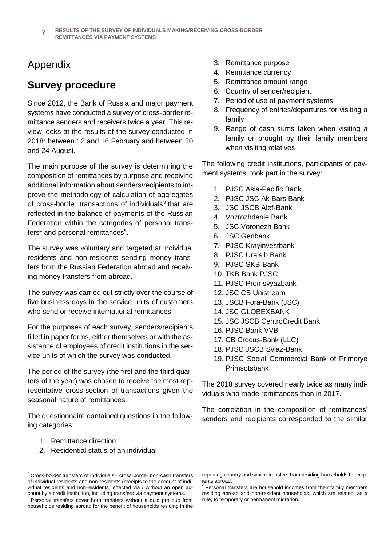## Appendix

## **Survey procedure**

Since 2012, the Bank of Russia and major payment systems have conducted a survey of cross-border remittance senders and receivers twice a year. This review looks at the results of the survey conducted in 2018: between 12 and 16 February and between 20 and 24 August.

The main purpose of the survey is determining the composition of remittances by purpose and receiving additional information about senders/recipients to improve the methodology of calculation of aggregates of cross-border transactions of individuals<sup>3</sup> that are reflected in the balance of payments of the Russian Federation within the categories of personal transfers<sup>4</sup> and personal remittances<sup>5</sup>.

The survey was voluntary and targeted at individual residents and non-residents sending money transfers from the Russian Federation abroad and receiving money transfers from abroad.

The survey was carried out strictly over the course of five business days in the service units of customers who send or receive international remittances.

For the purposes of each survey, senders/recipients filled in paper forms, either themselves or with the assistance of employees of credit institutions in the service units of which the survey was conducted.

The period of the survey (the first and the third quarters of the year) was chosen to receive the most representative cross-section of transactions given the seasonal nature of remittances.

The questionnaire contained questions in the following categories:

1. Remittance direction

 $\overline{a}$ 

2. Residential status of an individual

- 3. Remittance purpose
- 4. Remittance currency
- 5. Remittance amount range
- 6. Country of sender/recipient
- 7. Period of use of payment systems
- 8. Frequency of entries/departures for visiting a family
- 9. Range of cash sums taken when visiting a family or brought by their family members when visiting relatives

The following credit institutions, participants of payment systems, took part in the survey:

- 1. PJSC Asia-Pacific Bank
- 2. PJSC JSC Ak Bars Bank
- 3. JSC JSCB Alef-Bank
- 4. Vozrozhdenie Bank
- 5. JSC Voronezh Bank
- 6. JSC Genbank
- 7. PJSC Krayinvestbank
- 8. PJSC Uralsib Bank
- 9. PJSC SKB-Bank
- 10. TKB Bank PJSC
- 11. PJSC Promsvyazbank
- 12. JSC CB Unistream
- 13. JSCB Fora-Bank (JSC)
- 14. JSC GLOBEXBANK
- 15. JSC JSCB CentroCredit Bank
- 16. PJSC Bank VVB
- 17. CB Crocus-Bank (LLC)
- 18. PJSC JSCB Sviaz-Bank
- 19. PJSC Social Commercial Bank of Primorye Primsotsbank

The 2018 survey covered nearly twice as many individuals who made remittances than in 2017.

The correlation in the composition of remittances' senders and recipients corresponded to the similar

<sup>3</sup> Cross-border transfers of individuals - cross-border non-cash transfers of individual residents and non-residents (receipts to the account of individual residents and non-residents) effected via / without an open account by a credit institution, including transfers via payment systems. <sup>4</sup> Personal transfers cover both transfers without a quid pro quo from households residing abroad for the benefit of households residing in the

reporting country and similar transfers from residing households to recipients abroad.

<sup>5</sup> Personal transfers are household incomes from their family members residing abroad and non-resident households, which are related, as a rule, to temporary or permanent migration.